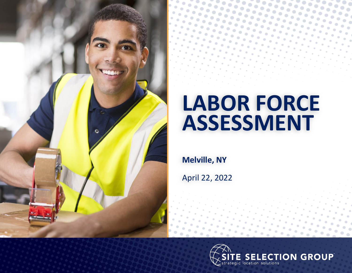

# **LABOR FORCE ASSESSMENT**

**Melville, NY**

April 22, 2022

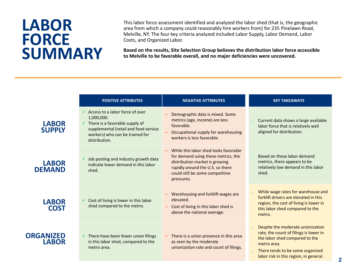# **LABOR FORCE SUMMARY**

This labor force assessment identified and analyzed the labor shed (that is, the geographic area from which a company could reasonably hire workers from) for 235 Pinelawn Road, Melville, NY. The four key criteria analyzed included Labor Supply, Labor Demand, Labor Costs, and Organized Labor.

**Based on the results, Site Selection Group believes the distribution labor force accessible to Melville to be favorable overall, and no major deficiencies were uncovered.** 

|                                  | <b>POSITIVE ATTRIBUTES</b>                                                                                                                                                                             | <b>NEGATIVE ATTRIBUTES</b>                                                                                                                                                                          | <b>KEY TAKEAWAYS</b>                                                                                                                                                                                       |  |
|----------------------------------|--------------------------------------------------------------------------------------------------------------------------------------------------------------------------------------------------------|-----------------------------------------------------------------------------------------------------------------------------------------------------------------------------------------------------|------------------------------------------------------------------------------------------------------------------------------------------------------------------------------------------------------------|--|
| <b>LABOR</b><br><b>SUPPLY</b>    | $\checkmark$ Access to a labor force of over<br>1,000,000.<br>$\checkmark$ There is a favorable supply of<br>supplemental (retail and food service<br>workers) who can be trained for<br>distribution. | Demographic data is mixed. Some<br>metrics (age, income) are less<br>favorable.<br>Occupational supply for warehousing<br>workers is less favorable.                                                | Current data shows a large available<br>labor force that is relatively well<br>aligned for distribution.                                                                                                   |  |
| <b>LABOR</b><br><b>DEMAND</b>    | Job posting and industry growth data<br>$\checkmark$<br>indicate lower demand in this labor<br>shed.                                                                                                   | While this labor shed looks favorable<br>for demand using these metrics, the<br>distribution market is growing<br>rapidly around the U.S. so there<br>could still be some competitive<br>pressures. | Based on these labor demand<br>metrics, there appears to be<br>relatively low demand in this labor<br>shed.                                                                                                |  |
| <b>LABOR</b><br><b>COST</b>      | $\checkmark$ Cost of living is lower in this labor<br>shed compared to the metro.                                                                                                                      | Warehousing and forklift wages are<br>elevated.<br>Cost of living in this labor shed is<br>above the national average.                                                                              | While wage rates for warehouse and<br>forklift drivers are elevated in this<br>region, the cost of living is lower in<br>this labor shed compared to the<br>metro.                                         |  |
| <b>ORGANIZED</b><br><b>LABOR</b> | $\checkmark$ There have been fewer union filings<br>in this labor shed, compared to the<br>metro area.                                                                                                 | There is a union presence in this area<br>$\equiv$<br>as seen by the moderate<br>unionization rate and count of filings.                                                                            | Despite the moderate unionization<br>rate, the count of filings is lower in<br>the labor shed compared to the<br>metro area.<br>There tends to be some organized<br>labor risk in this region, in general. |  |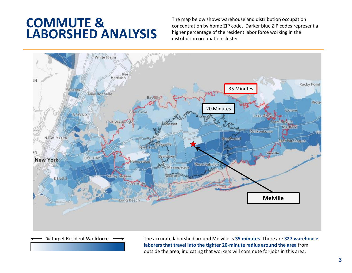### **COMMUTE & LABORSHED ANALYSIS**

The map below shows warehouse and distribution occupation concentration by home ZIP code. Darker blue ZIP codes represent a higher percentage of the resident labor force working in the distribution occupation cluster.



% Target Resident Workforce  $\longrightarrow$  The accurate laborshed around Melville is 35 minutes. There are 327 warehouse **laborers that travel into the tighter 20-minute radius around the area** from outside the area, indicating that workers will commute for jobs in this area.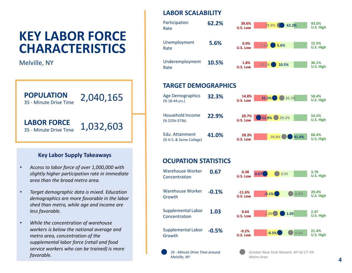### **KEY LABOR FORCE CHARACTERISTICS**

Melville, NY



#### **Key Labor Supply Takeaways**

- *Access to labor force of over 1,000,000 with slightly higher participation rate in immediate area than the broad metro area.*
- *Target demographic data is mixed. Education demographics are more favorable in the labor shed than metro, while age and income are less favorable.*
- *While the concentration of warehouse workers is below the national average and metro area, concentration of the supplemental labor force (retail and food service workers who can be trained) is more favorable.*

#### **LABOR SCALABILITY**



#### **TARGET DEMOGRAPHICS**

| <b>Age Demographics</b><br>$(% 18-44 \text{ yrs.})$ | 32.3% | 14.8%<br>32.3%<br>36.3%<br>U.S. Low    | 58.4%<br>U.S. High |
|-----------------------------------------------------|-------|----------------------------------------|--------------------|
| Household Income<br>(% \$25k-\$75k)                 | 22.9% | $20.7\%$<br>22.9%<br>O<br>29.2%        | 54.5%<br>U.S. High |
| Edu. Attainment<br>(% H.S. & Some College)          | 41.0% | 28.3%<br>$39.8\%$<br>41.0%<br>U.S. Low | 68.4%<br>U.S. High |

#### **OCUPATION STATISTICS**

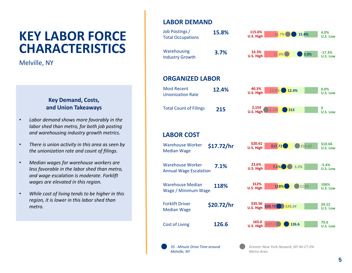### **KEY LABOR FORCE CHARACTERISTICS**

Melville, NY

#### **Key Demand, Costs, and Union Takeaways**

- *Labor demand shows more favorably in the labor shed than metro, for both job posting and warehousing industry growth metrics.*
- *There is union activity in this area as seen by the unionization rate and count of filings.*
- *Median wages for warehouse workers are less favorable in the labor shed than metro, and wage escalation is moderate. Forklift wages are elevated in this region.*
- *While cost of living tends to be higher in this region, it is lower in this labor shed than metro.*

#### **LABOR DEMAND**

*Melville, NY*



*Metro Area*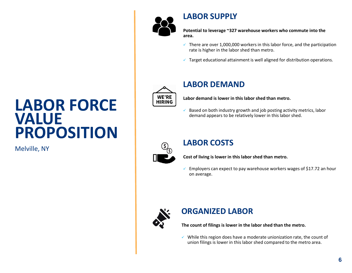

#### **LABOR SUPPLY**

**Potential to leverage ~327 warehouse workers who commute into the area.**

- $\checkmark$  There are over 1,000,000 workers in this labor force, and the participation rate is higher in the labor shed than metro.
- $\checkmark$  Target educational attainment is well aligned for distribution operations.



#### **LABOR DEMAND**

**Labor demand is lower in this labor shed than metro.**

✓ Based on both industry growth and job posting activity metrics, labor demand appears to be relatively lower in this labor shed.



#### **LABOR COSTS**

**Cost of living is lower in this labor shed than metro.**

 $\checkmark$  Employers can expect to pay warehouse workers wages of \$17.72 an hour on average.



#### **ORGANIZED LABOR**

**The count of filings is lower in the labor shed than the metro.**

✓ While this region does have a moderate unionization rate, the count of union filings is lower in this labor shed compared to the metro area.

# **LABOR FORCE VALUE PROPOSITION**

Melville, NY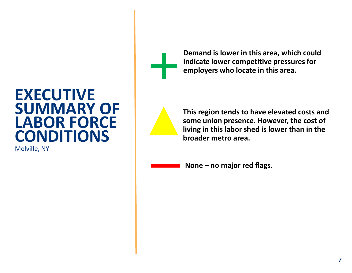## **EXECUTIVE SUMMARY OF LABOR FORCE CONDITIONS**

Melville, NY



**Demand is lower in this area, which could indicate lower competitive pressures for employers who locate in this area.**



**This region tends to have elevated costs and some union presence. However, the cost of living in this labor shed is lower than in the broader metro area.**

**None – no major red flags.**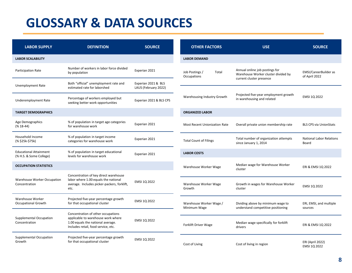### **GLOSSARY & DATA SOURCES**

| <b>LABOR SUPPLY</b>                                      | <b>DEFINITION</b>                                                                                                                                    | <b>SOURCE</b>                               | <b>OTHER FACTORS</b>                    | <b>USE</b>                                                                                        | <b>SOURCE</b>                                 |
|----------------------------------------------------------|------------------------------------------------------------------------------------------------------------------------------------------------------|---------------------------------------------|-----------------------------------------|---------------------------------------------------------------------------------------------------|-----------------------------------------------|
| <b>LABOR SCALABILITY</b>                                 |                                                                                                                                                      |                                             | <b>LABOR DEMAND</b>                     |                                                                                                   |                                               |
| <b>Participation Rate</b>                                | Number of workers in labor force divided<br>by population                                                                                            | Experian 2021                               | Job Postings /<br>Total<br>Occupations  | Annual online job postings for<br>Warehouse Worker cluster divided by<br>current cluster presence | <b>EMSI/CareerBuilder as</b><br>of April 2022 |
| Unemployment Rate                                        | Both "official" unemployment rate and<br>estimated rate for laborshed                                                                                | Experian 2021 & BLS<br>LAUS (February 2022) |                                         |                                                                                                   |                                               |
| Underemployment Rate                                     | Percentage of workers employed but<br>seeking better work opportunities                                                                              | Experian 2021 & BLS CPS                     | Warehousing Industry Growth             | Projected five-year employment growth<br>in warehousing and related                               | EMSI 1Q 2022                                  |
| <b>TARGET DEMOGRAPHICS</b>                               |                                                                                                                                                      |                                             | <b>ORGANIZED LABOR</b>                  |                                                                                                   |                                               |
| Age Demographics<br>$(% 18-44)$                          | % of population in target age categories<br>for warehouse work                                                                                       | Experian 2021                               | <b>Most Recent Unionization Rate</b>    | Overall private union membership rate                                                             | <b>BLS CPS via UnionStats</b>                 |
| Household Income<br>(% \$25k-\$75k)                      | % of population in target income<br>categories for warehouse work                                                                                    | Experian 2021                               | <b>Total Count of Filings</b>           | Total number of organization attempts<br>since January 1, 2014                                    | <b>National Labor Relations</b><br>Board      |
| <b>Educational Attainment</b><br>(% H.S. & Some College) | % of population in target educational<br>levels for warehouse work                                                                                   | Experian 2021                               | <b>LABOR COSTS</b>                      |                                                                                                   |                                               |
| <b>OCCUPATION STATISTICS</b>                             |                                                                                                                                                      |                                             | Warehouse Worker Wage                   | Median wage for Warehouse Worker<br>cluster                                                       | ERI & EMSI 10 2022                            |
| Warehouse Worker Occupation<br>Concentration             | Concentration of key direct warehouse<br>labor where 1.00 equals the national<br>average. Includes picker-packers, forklift,<br>etc.                 | EMSI 1Q 2022                                | Warehouse Worker Wage<br>Growth         | Growth in wages for Warehouse Worker<br>cluster                                                   | EMSI 1Q 2022                                  |
| Warehouse Worker<br><b>Occupational Growth</b>           | Projected five-year percentage growth<br>for that occupational cluster                                                                               | EMSI 1Q 2022                                | Warehouse Worker Wage /<br>Minimum Wage | Dividing above by minimum wage to<br>understand competitive positioning                           | ERI, EMSI, and multiple<br>sources            |
| <b>Supplemental Occupation</b><br>Concentration          | Concentration of other occupations<br>applicable to warehouse work where<br>1.00 equals the national average.<br>Includes retail, food service, etc. | EMSI 1Q 2022                                | Forklift Driver Wage                    | Median wage specifically for forklift<br>drivers                                                  | ERI & EMSI 1Q 2022                            |
| Supplemental Occupation<br>Growth                        | Projected five-year percentage growth<br>for that occupational cluster                                                                               | EMSI 1Q 2022                                | Cost of Living                          | Cost of living in region                                                                          | <b>ERI (April 2022)</b><br>EMSI 1Q 2022       |